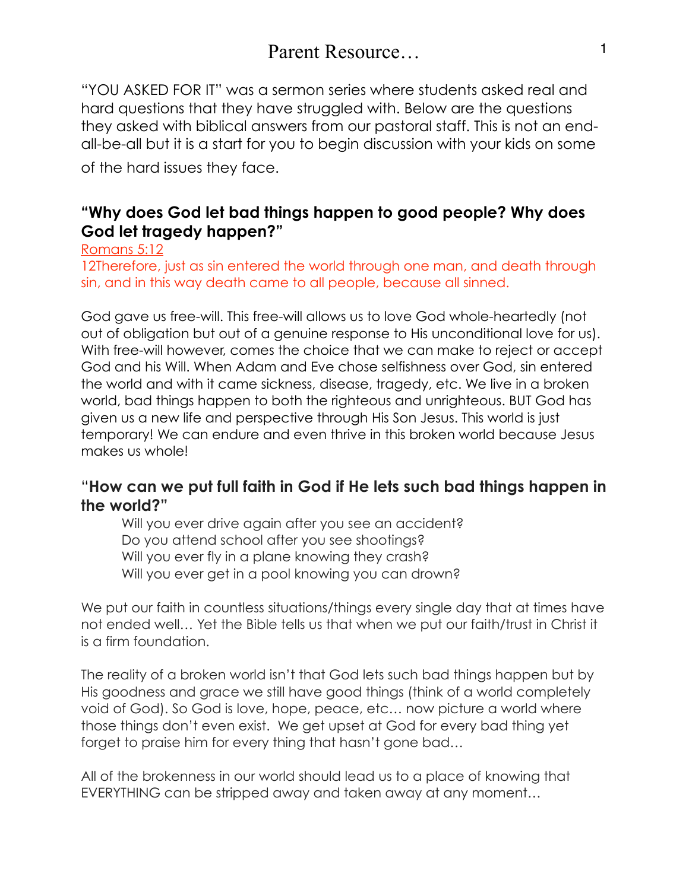"YOU ASKED FOR IT" was a sermon series where students asked real and hard questions that they have struggled with. Below are the questions they asked with biblical answers from our pastoral staff. This is not an endall-be-all but it is a start for you to begin discussion with your kids on some

of the hard issues they face.

# **"Why does God let bad things happen to good people? Why does God let tragedy happen?"**

Romans 5:12

[12Therefore, just as sin entered the world through one man, and death through](https://www.bible.com/bible/111/ROM.5.12.NIV)  [sin, and in this way death came to all people, because all sinned.](https://www.bible.com/bible/111/ROM.5.12.NIV)

God gave us free-will. This free-will allows us to love God whole-heartedly (not out of obligation but out of a genuine response to His unconditional love for us). With free-will however, comes the choice that we can make to reject or accept God and his Will. When Adam and Eve chose selfishness over God, sin entered the world and with it came sickness, disease, tragedy, etc. We live in a broken world, bad things happen to both the righteous and unrighteous. BUT God has given us a new life and perspective through His Son Jesus. This world is just temporary! We can endure and even thrive in this broken world because Jesus makes us whole!

# "**How can we put full faith in God if He lets such bad things happen in the world?"**

Will you ever drive again after you see an accident? Do you attend school after you see shootings? Will you ever fly in a plane knowing they crash? Will you ever get in a pool knowing you can drown?

We put our faith in countless situations/things every single day that at times have not ended well… Yet the Bible tells us that when we put our faith/trust in Christ it is a firm foundation.

The reality of a broken world isn't that God lets such bad things happen but by His goodness and grace we still have good things (think of a world completely void of God). So God is love, hope, peace, etc… now picture a world where those things don't even exist. We get upset at God for every bad thing yet forget to praise him for every thing that hasn't gone bad…

All of the brokenness in our world should lead us to a place of knowing that EVERYTHING can be stripped away and taken away at any moment…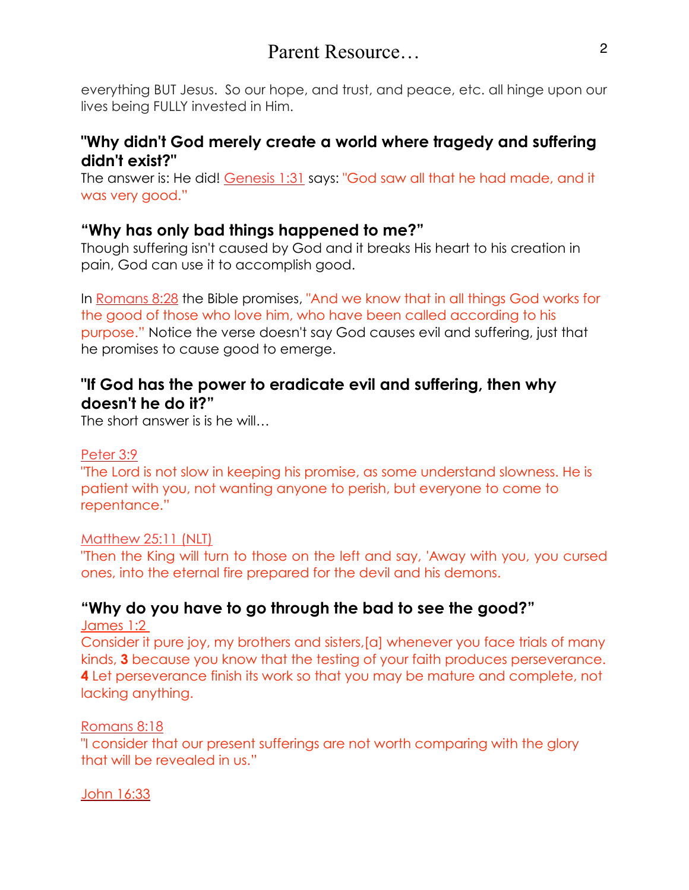# Parent Resource 2

everything BUT Jesus. So our hope, and trust, and peace, etc. all hinge upon our lives being FULLY invested in Him.

# **"Why didn't God merely create a world where tragedy and suffering didn't exist?"**

The answer is: He did! [Genesis 1:31](https://www.biblegateway.com/passage/?search=Genesis+1%3A31) says: "God saw all that he had made, and it was very good."

# **"Why has only bad things happened to me?"**

Though suffering isn't caused by God and it breaks His heart to his creation in pain, God can use it to accomplish good.

In [Romans 8:28](https://www.biblegateway.com/passage/?search=Romans+8%3A28) the Bible promises, "And we know that in all things God works for the good of those who love him, who have been called according to his purpose." Notice the verse doesn't say God causes evil and suffering, just that he promises to cause good to emerge.

# **"If God has the power to eradicate evil and suffering, then why doesn't he do it?"**

The short answer is is he will…

#### [Peter 3:9](https://www.biblegateway.com/passage/?search=2%20Peter+3%3A9)

"The Lord is not slow in keeping his promise, as some understand slowness. He is patient with you, not wanting anyone to perish, but everyone to come to repentance."

### Matthew 25:11 (NLT)

"Then the King will turn to those on the left and say, 'Away with you, you cursed ones, into the eternal fire prepared for the devil and his demons.

# **"Why do you have to go through the bad to see the good?"**

James 1:2

Consider it pure joy, my brothers and sisters,[a] whenever you face trials of many kinds, **3** because you know that the testing of your faith produces perseverance. **4** Let perseverance finish its work so that you may be mature and complete, not lacking anything.

### [Romans 8:18](https://www.biblegateway.com/passage/?search=Romans+8%3A18)

"I consider that our present sufferings are not worth comparing with the glory that will be revealed in us."

[John 16:33](https://www.biblegateway.com/passage/?search=John+16%3A33)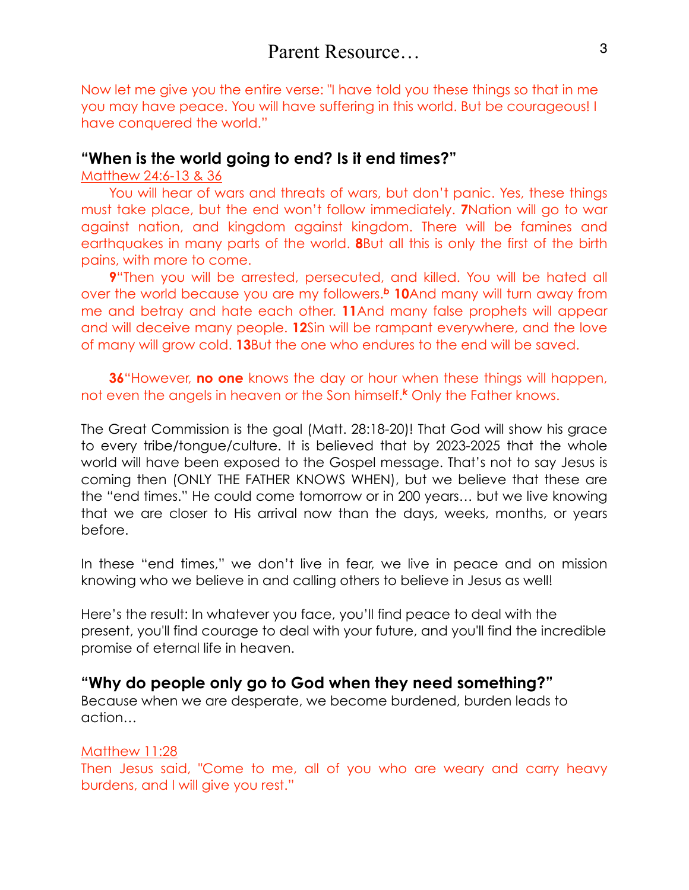Now let me give you the entire verse: "I have told you these things so that in me you may have peace. You will have suffering in this world. But be courageous! I have conquered the world."

### **"When is the world going to end? Is it end times?"**

Matthew 24:6-13 & 36

You will hear of wars and threats of wars, but don't panic. Yes, these things must take place, but the end won't follow immediately. **[7](http://biblehub.com/matthew/24-7.htm)**Nation will go to war against nation, and kingdom against kingdom. There will be famines and earthquakes in many parts of the world. **[8](http://biblehub.com/matthew/24-8.htm)**But all this is only the first of the birth pains, with more to come.

**[9](http://biblehub.com/matthew/24-9.htm)**"Then you will be arrested, persecuted, and killed. You will be hated all over the world because you are my followers.*<sup>b</sup>* **[10](http://biblehub.com/matthew/24-10.htm)**And many will turn away from me and betray and hate each other. **[11](http://biblehub.com/matthew/24-11.htm)**And many false prophets will appear and will deceive many people. **[12](http://biblehub.com/matthew/24-12.htm)**Sin will be rampant everywhere, and the love of many will grow cold. **[13](http://biblehub.com/matthew/24-13.htm)**But the one who endures to the end will be saved.

**[36](http://biblehub.com/matthew/24-36.htm)**"However, **no one** knows the day or hour when these things will happen, not even the angels in heaven or the Son himself.*<sup>k</sup>* Only the Father knows.

The Great Commission is the goal (Matt. 28:18-20)! That God will show his grace to every tribe/tongue/culture. It is believed that by 2023-2025 that the whole world will have been exposed to the Gospel message. That's not to say Jesus is coming then (ONLY THE FATHER KNOWS WHEN), but we believe that these are the "end times." He could come tomorrow or in 200 years… but we live knowing that we are closer to His arrival now than the days, weeks, months, or years before.

In these "end times," we don't live in fear, we live in peace and on mission knowing who we believe in and calling others to believe in Jesus as well!

Here's the result: In whatever you face, you'll find peace to deal with the present, you'll find courage to deal with your future, and you'll find the incredible promise of eternal life in heaven.

## **"Why do people only go to God when they need something?"**

Because when we are desperate, we become burdened, burden leads to action…

#### Matthew 11:28

Then Jesus said, "Come to me, all of you who are weary and carry heavy burdens, and I will give you rest."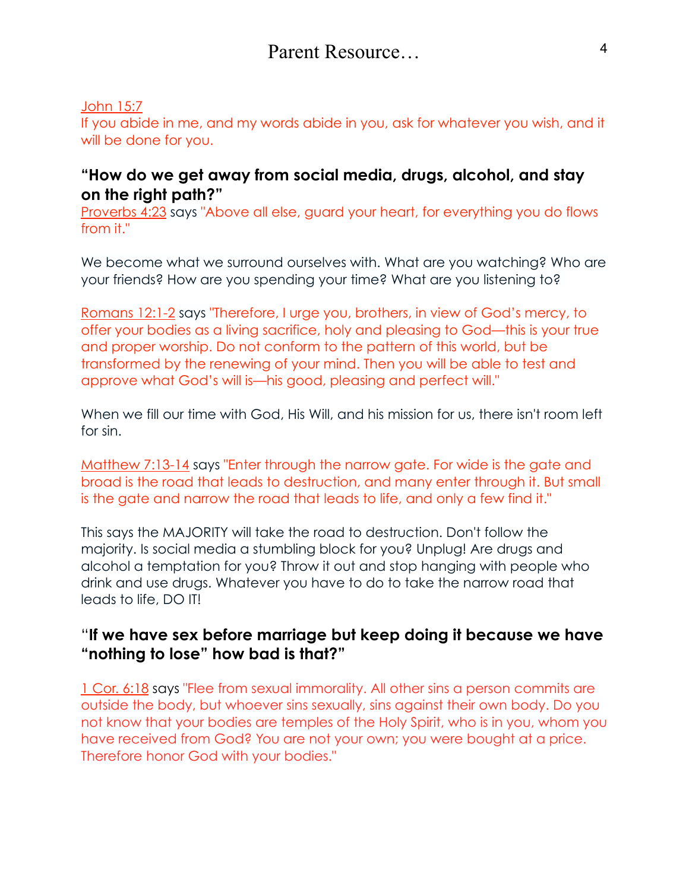### John 15:7

If you abide in me, and my words abide in you, ask for whatever you wish, and it will be done for you.

# **"How do we get away from social media, drugs, alcohol, and stay on the right path?"**

Proverbs 4:23 says "Above all else, guard your heart, for everything you do flows from it."

We become what we surround ourselves with. What are you watching? Who are your friends? How are you spending your time? What are you listening to?

Romans 12:1-2 says "Therefore, I urge you, brothers, in view of God's mercy, to offer your bodies as a living sacrifice, holy and pleasing to God—this is your true and proper worship. Do not conform to the pattern of this world, but be transformed by the renewing of your mind. Then you will be able to test and approve what God's will is—his good, pleasing and perfect will."

When we fill our time with God, His Will, and his mission for us, there isn't room left for sin.

Matthew 7:13-14 says "Enter through the narrow gate. For wide is the gate and broad is the road that leads to destruction, and many enter through it. But small is the gate and narrow the road that leads to life, and only a few find it."

This says the MAJORITY will take the road to destruction. Don't follow the majority. Is social media a stumbling block for you? Unplug! Are drugs and alcohol a temptation for you? Throw it out and stop hanging with people who drink and use drugs. Whatever you have to do to take the narrow road that leads to life, DO IT!

# "**If we have sex before marriage but keep doing it because we have "nothing to lose" how bad is that?"**

1 Cor. 6:18 says "Flee from sexual immorality. All other sins a person commits are outside the body, but whoever sins sexually, sins against their own body. Do you not know that your bodies are temples of the Holy Spirit, who is in you, whom you have received from God? You are not your own; you were bought at a price. Therefore honor God with your bodies."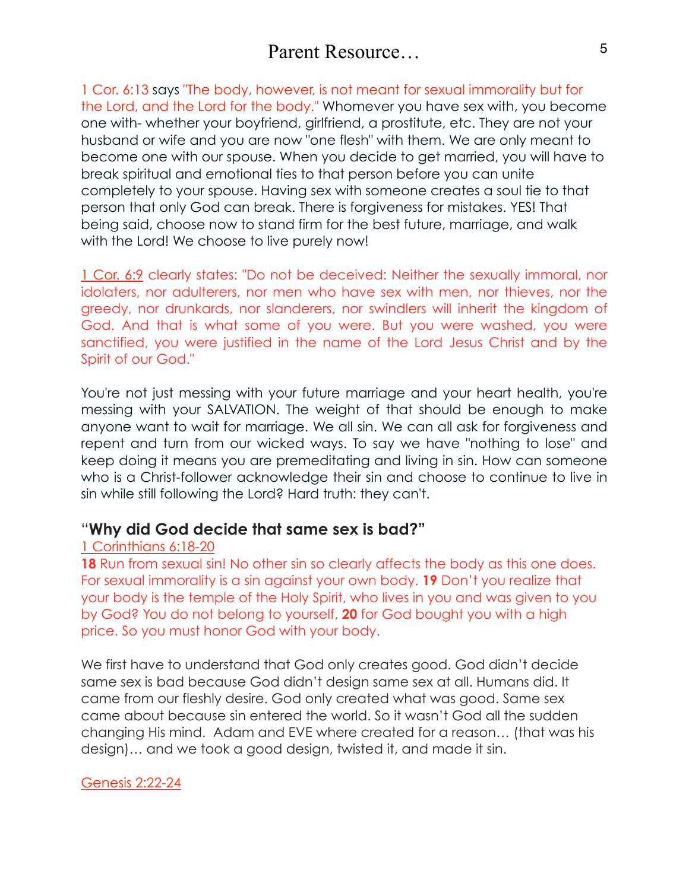1 Cor. 6:13 says "The body, however, is not meant for sexual immorality but for the Lord, and the Lord for the body." Whomever you have sex with, you become one with- whether your boyfriend, girlfriend, a prostitute, etc. They are not your husband or wife and you are now "one flesh" with them. We are only meant to become one with our spouse. When you decide to get married, you will have to break spiritual and emotional ties to that person before you can unite completely to your spouse. Having sex with someone creates a soul tie to that person that only God can break. There is forgiveness for mistakes. YES! That being said, choose now to stand firm for the best future, marriage, and walk with the Lord! We choose to live purely now!

1 Cor. 6:9 clearly states: "Do not be deceived: Neither the sexually immoral, nor idolaters, nor adulterers, nor men who have sex with men, nor thieves, nor the greedy, nor drunkards, nor slanderers, nor swindlers will inherit the kingdom of God. And that is what some of you were. But you were washed, you were sanctified, you were justified in the name of the Lord Jesus Christ and by the Spirit of our God."

You're not just messing with your future marriage and your heart health, you're messing with your SALVATION. The weight of that should be enough to make anyone want to wait for marriage. We all sin. We can all ask for forgiveness and repent and turn from our wicked ways. To say we have "nothing to lose" and keep doing it means you are premeditating and living in sin. How can someone who is a Christ-follower acknowledge their sin and choose to continue to live in sin while still following the Lord? Hard truth: they can't.

## "**Why did God decide that same sex is bad?"**

### 1 Corinthians 6:18-20

**18** Run from sexual sin! No other sin so clearly affects the body as this one does. For sexual immorality is a sin against your own body. **19** Don't you realize that your body is the temple of the Holy Spirit, who lives in you and was given to you by God? You do not belong to yourself, **20** for God bought you with a high price. So you must honor God with your body.

We first have to understand that God only creates good. God didn't decide same sex is bad because God didn't design same sex at all. Humans did. It came from our fleshly desire. God only created what was good. Same sex came about because sin entered the world. So it wasn't God all the sudden changing His mind. Adam and EVE where created for a reason… (that was his design)… and we took a good design, twisted it, and made it sin.

### Genesis 2:22-24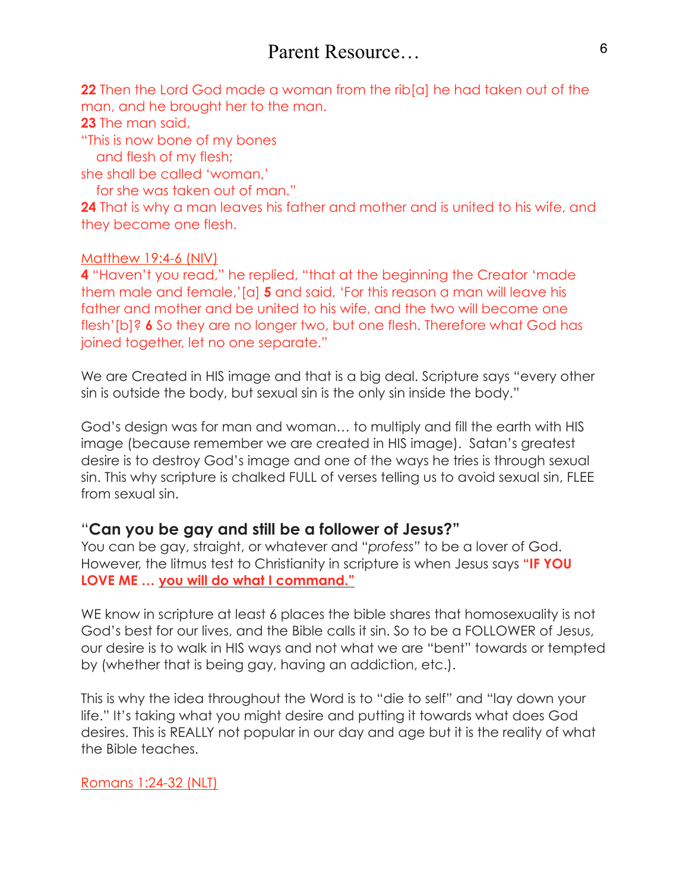**22** Then the Lord God made a woman from the rib[a] he had taken out of the man, and he brought her to the man.

**23** The man said,

"This is now bone of my bones

and flesh of my flesh;

she shall be called 'woman,'

for she was taken out of man."

**24** That is why a man leaves his father and mother and is united to his wife, and they become one flesh.

## Matthew 19:4-6 (NIV)

**4** "Haven't you read," he replied, "that at the beginning the Creator 'made them male and female,'[a] **5** and said, 'For this reason a man will leave his father and mother and be united to his wife, and the two will become one flesh'[b]? **6** So they are no longer two, but one flesh. Therefore what God has joined together, let no one separate."

We are Created in HIS image and that is a big deal. Scripture says "every other sin is outside the body, but sexual sin is the only sin inside the body."

God's design was for man and woman… to multiply and fill the earth with HIS image (because remember we are created in HIS image). Satan's greatest desire is to destroy God's image and one of the ways he tries is through sexual sin. This why scripture is chalked FULL of verses telling us to avoid sexual sin, FLEE from sexual sin.

# "**Can you be gay and still be a follower of Jesus?"**

You can be gay, straight, or whatever and "*profess"* to be a lover of God. However, the litmus test to Christianity in scripture is when Jesus says **"IF YOU LOVE ME … you will do what I command."**

WE know in scripture at least 6 places the bible shares that homosexuality is not God's best for our lives, and the Bible calls it sin. So to be a FOLLOWER of Jesus, our desire is to walk in HIS ways and not what we are "bent" towards or tempted by (whether that is being gay, having an addiction, etc.).

This is why the idea throughout the Word is to "die to self" and "lay down your life." It's taking what you might desire and putting it towards what does God desires. This is REALLY not popular in our day and age but it is the reality of what the Bible teaches.

## Romans 1:24-32 (NLT)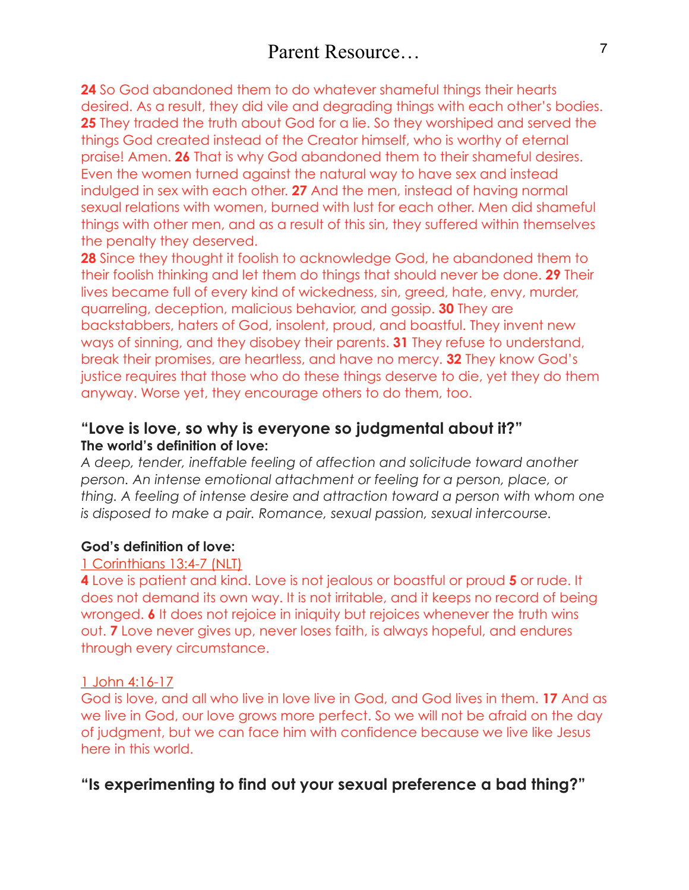**24** So God abandoned them to do whatever shameful things their hearts desired. As a result, they did vile and degrading things with each other's bodies. **25** They traded the truth about God for a lie. So they worshiped and served the things God created instead of the Creator himself, who is worthy of eternal praise! Amen. **26** That is why God abandoned them to their shameful desires. Even the women turned against the natural way to have sex and instead indulged in sex with each other. **27** And the men, instead of having normal sexual relations with women, burned with lust for each other. Men did shameful things with other men, and as a result of this sin, they suffered within themselves the penalty they deserved.

**28** Since they thought it foolish to acknowledge God, he abandoned them to their foolish thinking and let them do things that should never be done. **29** Their lives became full of every kind of wickedness, sin, greed, hate, envy, murder, quarreling, deception, malicious behavior, and gossip. **30** They are backstabbers, haters of God, insolent, proud, and boastful. They invent new ways of sinning, and they disobey their parents. **31** They refuse to understand, break their promises, are heartless, and have no mercy. **32** They know God's justice requires that those who do these things deserve to die, yet they do them anyway. Worse yet, they encourage others to do them, too.

# **"Love is love, so why is everyone so judgmental about it?" The world's definition of love:**

*A deep, tender, ineffable feeling of affection and solicitude toward another person. An intense emotional attachment or feeling for a person, place, or thing. A feeling of intense desire and attraction toward a person with whom one is disposed to make a pair. Romance, sexual passion, sexual intercourse.* 

## **God's definition of love:**

## 1 Corinthians 13:4-7 (NLT)

**4** Love is patient and kind. Love is not jealous or boastful or proud **5** or rude. It does not demand its own way. It is not irritable, and it keeps no record of being wronged. **6** It does not rejoice in iniquity but rejoices whenever the truth wins out. **7** Love never gives up, never loses faith, is always hopeful, and endures through every circumstance.

# 1 John 4:16-17

God is love, and all who live in love live in God, and God lives in them. **17** And as we live in God, our love grows more perfect. So we will not be afraid on the day of judgment, but we can face him with confidence because we live like Jesus here in this world.

# **"Is experimenting to find out your sexual preference a bad thing?"**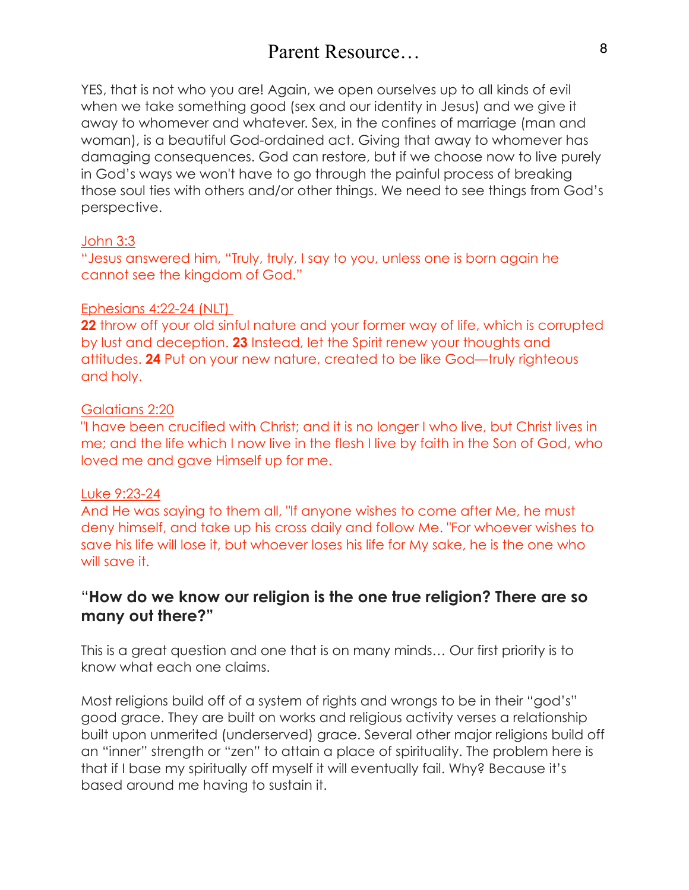# Parent Resource 8

YES, that is not who you are! Again, we open ourselves up to all kinds of evil when we take something good (sex and our identity in Jesus) and we give it away to whomever and whatever. Sex, in the confines of marriage (man and woman), is a beautiful God-ordained act. Giving that away to whomever has damaging consequences. God can restore, but if we choose now to live purely in God's ways we won't have to go through the painful process of breaking those soul ties with others and/or other things. We need to see things from God's perspective.

#### John 3:3

"Jesus answered him, "Truly, truly, I say to you, unless one is born again he cannot see the kingdom of God."

#### Ephesians 4:22-24 (NLT)

**22** throw off your old sinful nature and your former way of life, which is corrupted by lust and deception. **23** Instead, let the Spirit renew your thoughts and attitudes. **24** Put on your new nature, created to be like God—truly righteous and holy.

#### [Galatians 2:20](https://bible.knowing-jesus.com/Galatians/2/20)

"I have been crucified with Christ; and it is no longer I who live, but Christ lives in me; and the life which I now live in the flesh I live by faith in the Son of God, who loved me and gave Himself up for me.

#### [Luke 9:23-24](https://bible.knowing-jesus.com/Luke/9/23)

And He was saying to them all, "If anyone wishes to come after Me, he must deny himself, and take up his cross daily and follow Me. "For whoever wishes to save his life will lose it, but whoever loses his life for My sake, he is the one who will save it.

## "**How do we know our religion is the one true religion? There are so many out there?"**

This is a great question and one that is on many minds… Our first priority is to know what each one claims.

Most religions build off of a system of rights and wrongs to be in their "god's" good grace. They are built on works and religious activity verses a relationship built upon unmerited (underserved) grace. Several other major religions build off an "inner" strength or "zen" to attain a place of spirituality. The problem here is that if I base my spiritually off myself it will eventually fail. Why? Because it's based around me having to sustain it.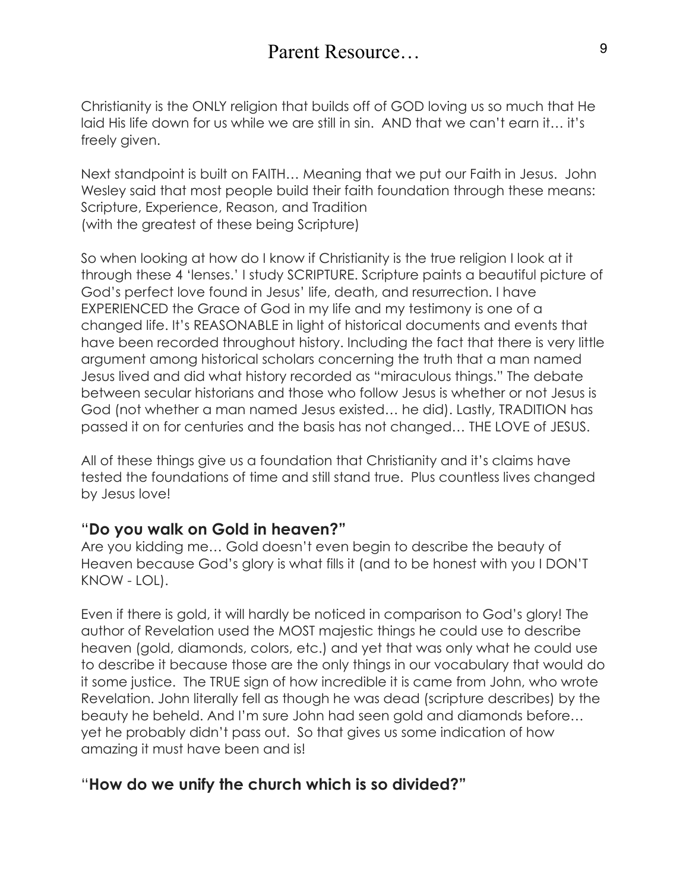Christianity is the ONLY religion that builds off of GOD loving us so much that He laid His life down for us while we are still in sin. AND that we can't earn it… it's freely given.

Next standpoint is built on FAITH… Meaning that we put our Faith in Jesus. John Wesley said that most people build their faith foundation through these means: Scripture, Experience, Reason, and Tradition (with the greatest of these being Scripture)

So when looking at how do I know if Christianity is the true religion I look at it through these 4 'lenses.' I study SCRIPTURE. Scripture paints a beautiful picture of God's perfect love found in Jesus' life, death, and resurrection. I have EXPERIENCED the Grace of God in my life and my testimony is one of a changed life. It's REASONABLE in light of historical documents and events that have been recorded throughout history. Including the fact that there is very little argument among historical scholars concerning the truth that a man named Jesus lived and did what history recorded as "miraculous things." The debate between secular historians and those who follow Jesus is whether or not Jesus is God (not whether a man named Jesus existed… he did). Lastly, TRADITION has passed it on for centuries and the basis has not changed… THE LOVE of JESUS.

All of these things give us a foundation that Christianity and it's claims have tested the foundations of time and still stand true. Plus countless lives changed by Jesus love!

# "**Do you walk on Gold in heaven?"**

Are you kidding me… Gold doesn't even begin to describe the beauty of Heaven because God's glory is what fills it (and to be honest with you I DON'T KNOW - LOL).

Even if there is gold, it will hardly be noticed in comparison to God's glory! The author of Revelation used the MOST majestic things he could use to describe heaven (gold, diamonds, colors, etc.) and yet that was only what he could use to describe it because those are the only things in our vocabulary that would do it some justice. The TRUE sign of how incredible it is came from John, who wrote Revelation. John literally fell as though he was dead (scripture describes) by the beauty he beheld. And I'm sure John had seen gold and diamonds before… yet he probably didn't pass out. So that gives us some indication of how amazing it must have been and is!

# "**How do we unify the church which is so divided?"**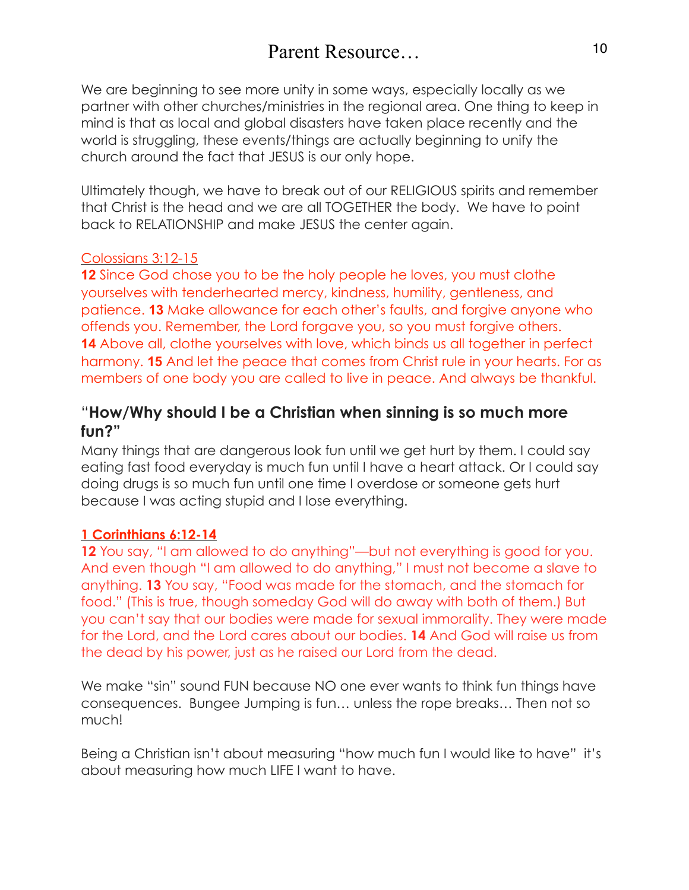We are beginning to see more unity in some ways, especially locally as we partner with other churches/ministries in the regional area. One thing to keep in mind is that as local and global disasters have taken place recently and the world is struggling, these events/things are actually beginning to unify the church around the fact that JESUS is our only hope.

Ultimately though, we have to break out of our RELIGIOUS spirits and remember that Christ is the head and we are all TOGETHER the body. We have to point back to RELATIONSHIP and make JESUS the center again.

## Colossians 3:12-15

**12** Since God chose you to be the holy people he loves, you must clothe yourselves with tenderhearted mercy, kindness, humility, gentleness, and patience. **13** Make allowance for each other's faults, and forgive anyone who offends you. Remember, the Lord forgave you, so you must forgive others. **14** Above all, clothe yourselves with love, which binds us all together in perfect harmony. **15** And let the peace that comes from Christ rule in your hearts. For as members of one body you are called to live in peace. And always be thankful.

# "**How/Why should I be a Christian when sinning is so much more fun?"**

Many things that are dangerous look fun until we get hurt by them. I could say eating fast food everyday is much fun until I have a heart attack. Or I could say doing drugs is so much fun until one time I overdose or someone gets hurt because I was acting stupid and I lose everything.

### **1 Corinthians 6:12-14**

**12** You say, "I am allowed to do anything"—but not everything is good for you. And even though "I am allowed to do anything," I must not become a slave to anything. **13** You say, "Food was made for the stomach, and the stomach for food." (This is true, though someday God will do away with both of them.) But you can't say that our bodies were made for sexual immorality. They were made for the Lord, and the Lord cares about our bodies. **14** And God will raise us from the dead by his power, just as he raised our Lord from the dead.

We make "sin" sound FUN because NO one ever wants to think fun things have consequences. Bungee Jumping is fun… unless the rope breaks… Then not so much!

Being a Christian isn't about measuring "how much fun I would like to have" it's about measuring how much LIFE I want to have.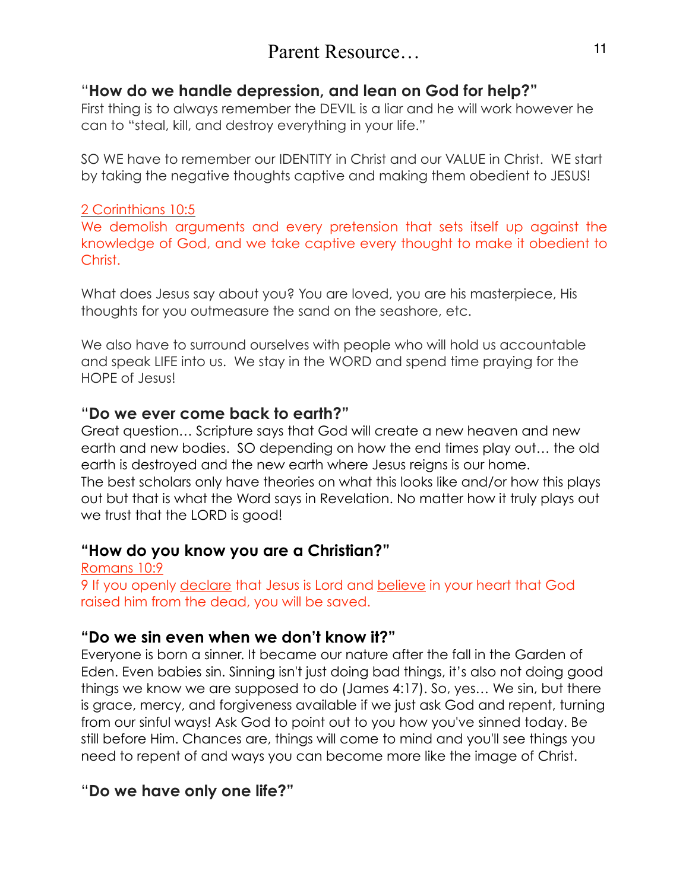# Parent Resource 11

# "**How do we handle depression, and lean on God for help?"**

First thing is to always remember the DEVIL is a liar and he will work however he can to "steal, kill, and destroy everything in your life."

SO WE have to remember our IDENTITY in Christ and our VALUE in Christ. WE start by taking the negative thoughts captive and making them obedient to JESUS!

### 2 Corinthians 10:5

We demolish arguments and every pretension that sets itself up against the knowledge of God, and we take captive every thought to make it obedient to Christ.

What does Jesus say about you? You are loved, you are his masterpiece, His thoughts for you outmeasure the sand on the seashore, etc.

We also have to surround ourselves with people who will hold us accountable and speak LIFE into us. We stay in the WORD and spend time praying for the HOPE of Jesus!

### "**Do we ever come back to earth?"**

Great question… Scripture says that God will create a new heaven and new earth and new bodies. SO depending on how the end times play out… the old earth is destroyed and the new earth where Jesus reigns is our home. The best scholars only have theories on what this looks like and/or how this plays out but that is what the Word says in Revelation. No matter how it truly plays out we trust that the LORD is good!

## **"How do you know you are a Christian?"**

Romans 10:9 9 If you openly declare that Jesus is Lord and believe in your heart that God raised him from the dead, you will be saved.

## **"Do we sin even when we don't know it?"**

Everyone is born a sinner. It became our nature after the fall in the Garden of Eden. Even babies sin. Sinning isn't just doing bad things, it's also not doing good things we know we are supposed to do (James 4:17). So, yes… We sin, but there is grace, mercy, and forgiveness available if we just ask God and repent, turning from our sinful ways! Ask God to point out to you how you've sinned today. Be still before Him. Chances are, things will come to mind and you'll see things you need to repent of and ways you can become more like the image of Christ.

# "**Do we have only one life?"**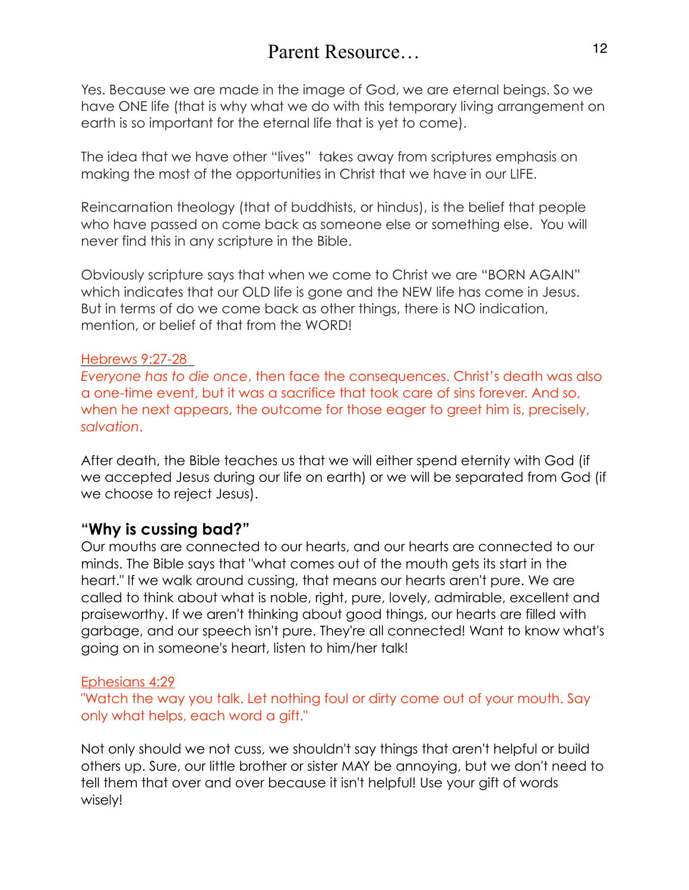Yes. Because we are made in the image of God, we are eternal beings. So we have ONE life (that is why what we do with this temporary living arrangement on earth is so important for the eternal life that is yet to come).

The idea that we have other "lives" takes away from scriptures emphasis on making the most of the opportunities in Christ that we have in our LIFE.

Reincarnation theology (that of buddhists, or hindus), is the belief that people who have passed on come back as someone else or something else. You will never find this in any scripture in the Bible.

Obviously scripture says that when we come to Christ we are "BORN AGAIN" which indicates that our OLD life is gone and the NEW life has come in Jesus. But in terms of do we come back as other things, there is NO indication, mention, or belief of that from the WORD!

#### Hebrews 9:27-28

*Everyone has to die once*, then face the consequences. Christ's death was also a one-time event, but it was a sacrifice that took care of sins forever. And so, when he next appears, the outcome for those eager to greet him is, precisely, *salvation*.

After death, the Bible teaches us that we will either spend eternity with God (if we accepted Jesus during our life on earth) or we will be separated from God (if we choose to reject Jesus).

## **"Why is cussing bad?"**

Our mouths are connected to our hearts, and our hearts are connected to our minds. The Bible says that "what comes out of the mouth gets its start in the heart." If we walk around cussing, that means our hearts aren't pure. We are called to think about what is noble, right, pure, lovely, admirable, excellent and praiseworthy. If we aren't thinking about good things, our hearts are filled with garbage, and our speech isn't pure. They're all connected! Want to know what's going on in someone's heart, listen to him/her talk!

### Ephesians 4:29

"Watch the way you talk. Let nothing foul or dirty come out of your mouth. Say only what helps, each word a gift."

Not only should we not cuss, we shouldn't say things that aren't helpful or build others up. Sure, our little brother or sister MAY be annoying, but we don't need to tell them that over and over because it isn't helpful! Use your gift of words wisely!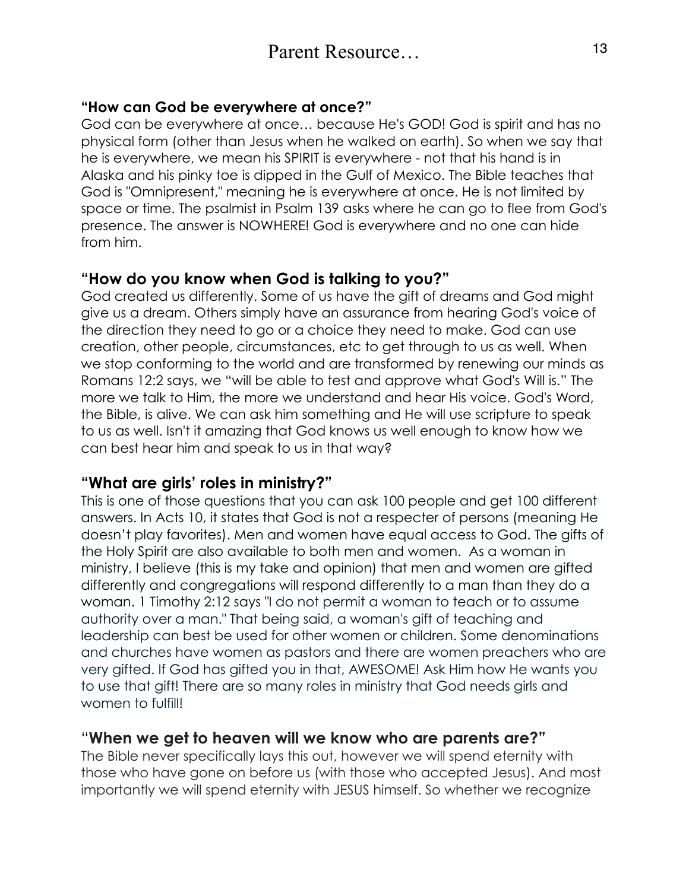## **"How can God be everywhere at once?"**

God can be everywhere at once… because He's GOD! God is spirit and has no physical form (other than Jesus when he walked on earth). So when we say that he is everywhere, we mean his SPIRIT is everywhere - not that his hand is in Alaska and his pinky toe is dipped in the Gulf of Mexico. The Bible teaches that God is "Omnipresent," meaning he is everywhere at once. He is not limited by space or time. The psalmist in Psalm 139 asks where he can go to flee from God's presence. The answer is NOWHERE! God is everywhere and no one can hide from him.

# **"How do you know when God is talking to you?"**

God created us differently. Some of us have the gift of dreams and God might give us a dream. Others simply have an assurance from hearing God's voice of the direction they need to go or a choice they need to make. God can use creation, other people, circumstances, etc to get through to us as well. When we stop conforming to the world and are transformed by renewing our minds as Romans 12:2 says, we "will be able to test and approve what God's Will is." The more we talk to Him, the more we understand and hear His voice. God's Word, the Bible, is alive. We can ask him something and He will use scripture to speak to us as well. Isn't it amazing that God knows us well enough to know how we can best hear him and speak to us in that way?

# **"What are girls' roles in ministry?"**

This is one of those questions that you can ask 100 people and get 100 different answers. In Acts 10, it states that God is not a respecter of persons (meaning He doesn't play favorites). Men and women have equal access to God. The gifts of the Holy Spirit are also available to both men and women. As a woman in ministry, I believe (this is my take and opinion) that men and women are gifted differently and congregations will respond differently to a man than they do a woman. 1 Timothy 2:12 says "I do not permit a woman to teach or to assume authority over a man." That being said, a woman's gift of teaching and leadership can best be used for other women or children. Some denominations and churches have women as pastors and there are women preachers who are very gifted. If God has gifted you in that, AWESOME! Ask Him how He wants you to use that gift! There are so many roles in ministry that God needs girls and women to fulfill!

# "**When we get to heaven will we know who are parents are?"**

The Bible never specifically lays this out, however we will spend eternity with those who have gone on before us (with those who accepted Jesus). And most importantly we will spend eternity with JESUS himself. So whether we recognize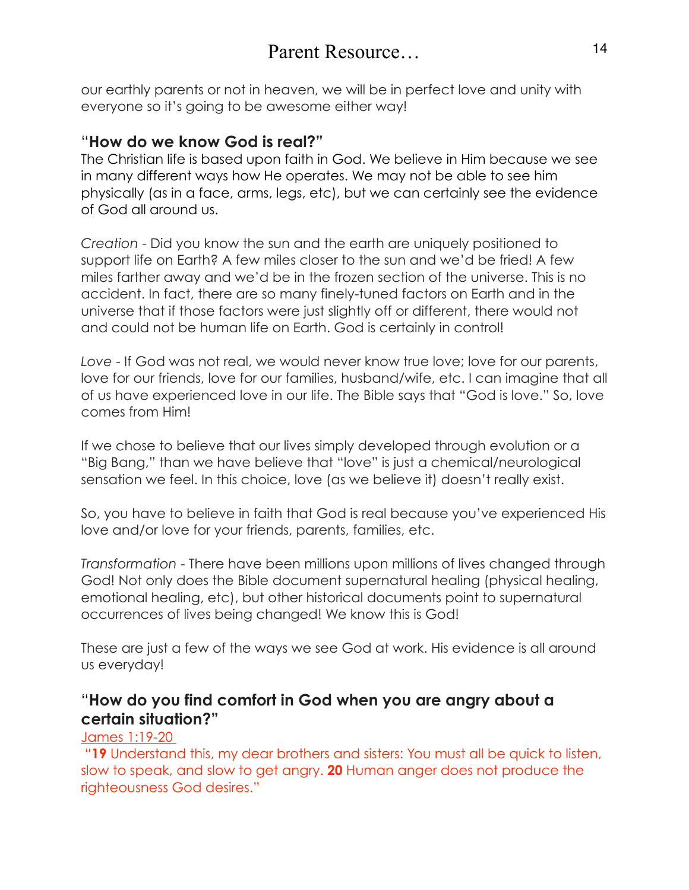our earthly parents or not in heaven, we will be in perfect love and unity with everyone so it's going to be awesome either way!

# "**How do we know God is real?"**

The Christian life is based upon faith in God. We believe in Him because we see in many different ways how He operates. We may not be able to see him physically (as in a face, arms, legs, etc), but we can certainly see the evidence of God all around us.

*Creation* - Did you know the sun and the earth are uniquely positioned to support life on Earth? A few miles closer to the sun and we'd be fried! A few miles farther away and we'd be in the frozen section of the universe. This is no accident. In fact, there are so many finely-tuned factors on Earth and in the universe that if those factors were just slightly off or different, there would not and could not be human life on Earth. God is certainly in control!

*Love* - If God was not real, we would never know true love; love for our parents, love for our friends, love for our families, husband/wife, etc. I can imagine that all of us have experienced love in our life. The Bible says that "God is love." So, love comes from Him!

If we chose to believe that our lives simply developed through evolution or a "Big Bang," than we have believe that "love" is just a chemical/neurological sensation we feel. In this choice, love (as we believe it) doesn't really exist.

So, you have to believe in faith that God is real because you've experienced His love and/or love for your friends, parents, families, etc.

*Transformation* - There have been millions upon millions of lives changed through God! Not only does the Bible document supernatural healing (physical healing, emotional healing, etc), but other historical documents point to supernatural occurrences of lives being changed! We know this is God!

These are just a few of the ways we see God at work. His evidence is all around us everyday!

# "**How do you find comfort in God when you are angry about a certain situation?"**

## James 1:19-20

 "**19** Understand this, my dear brothers and sisters: You must all be quick to listen, slow to speak, and slow to get angry. **20** Human anger does not produce the righteousness God desires."